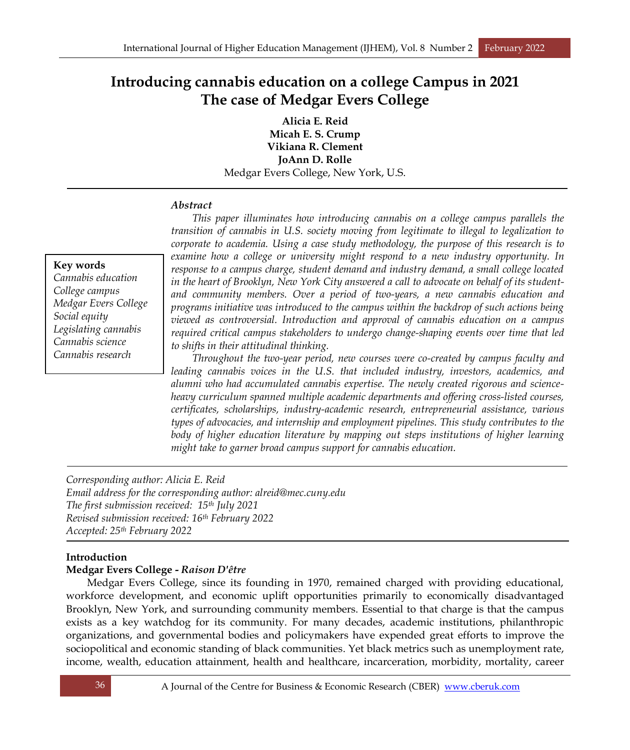# **Introducing cannabis education on a college Campus in 2021 The case of Medgar Evers College**

**Alicia E. Reid Micah E. S. Crump Vikiana R. Clement JoAnn D. Rolle** Medgar Evers College, New York, U.S.

# *Abstract*

*This paper illuminates how introducing cannabis on a college campus parallels the transition of cannabis in U.S. society moving from legitimate to illegal to legalization to corporate to academia. Using a case study methodology, the purpose of this research is to examine how a college or university might respond to a new industry opportunity. In response to a campus charge, student demand and industry demand, a small college located in the heart of Brooklyn, New York City answered a call to advocate on behalf of its studentand community members. Over a period of two-years, a new cannabis education and programs initiative was introduced to the campus within the backdrop of such actions being viewed as controversial. Introduction and approval of cannabis education on a campus required critical campus stakeholders to undergo change-shaping events over time that led to shifts in their attitudinal thinking.* 

*Throughout the two-year period, new courses were co-created by campus faculty and leading cannabis voices in the U.S. that included industry, investors, academics, and alumni who had accumulated cannabis expertise. The newly created rigorous and scienceheavy curriculum spanned multiple academic departments and offering cross-listed courses, certificates, scholarships, industry-academic research, entrepreneurial assistance, various types of advocacies, and internship and employment pipelines. This study contributes to the body of higher education literature by mapping out steps institutions of higher learning might take to garner broad campus support for cannabis education.*

*Corresponding author: Alicia E. Reid Email address for the corresponding author: alreid@mec.cuny.edu The first submission received: 15th July 2021 Revised submission received: 16th February 2022 Accepted: 25th February 2022*

# **Introduction**

# **Medgar Evers College -** *Raison D'être*

Medgar Evers College, since its founding in 1970, remained charged with providing educational, workforce development, and economic uplift opportunities primarily to economically disadvantaged Brooklyn, New York, and surrounding community members. Essential to that charge is that the campus exists as a key watchdog for its community. For many decades, academic institutions, philanthropic organizations, and governmental bodies and policymakers have expended great efforts to improve the sociopolitical and economic standing of black communities. Yet black metrics such as unemployment rate, income, wealth, education attainment, health and healthcare, incarceration, morbidity, mortality, career

# *Cannabis education College campus Medgar Evers College Social equity Legislating cannabis Cannabis science Cannabis research*

**Key words**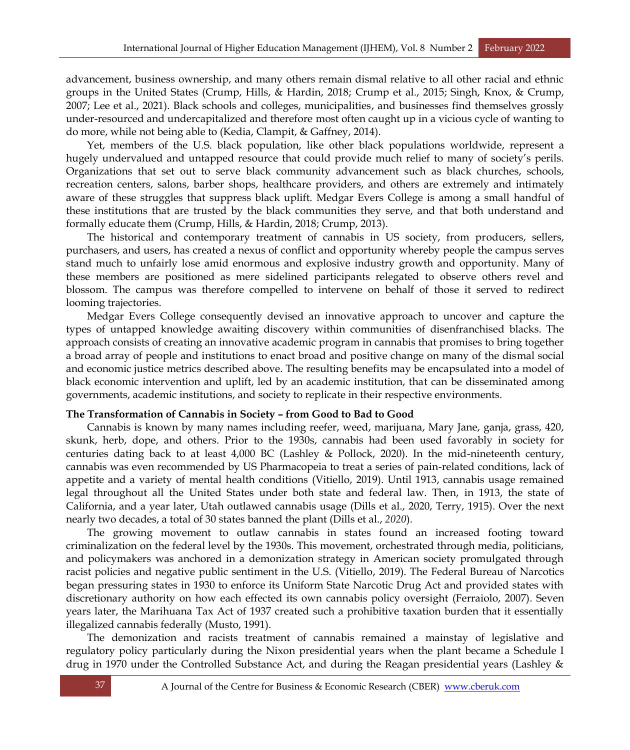advancement, business ownership, and many others remain dismal relative to all other racial and ethnic groups in the United States (Crump, Hills, & Hardin, 2018; Crump et al., 2015; Singh, Knox, & Crump, 2007; Lee et al., 2021). Black schools and colleges, municipalities, and businesses find themselves grossly under-resourced and undercapitalized and therefore most often caught up in a vicious cycle of wanting to do more, while not being able to (Kedia, Clampit, & Gaffney, 2014).

Yet, members of the U.S. black population, like other black populations worldwide, represent a hugely undervalued and untapped resource that could provide much relief to many of society's perils. Organizations that set out to serve black community advancement such as black churches, schools, recreation centers, salons, barber shops, healthcare providers, and others are extremely and intimately aware of these struggles that suppress black uplift. Medgar Evers College is among a small handful of these institutions that are trusted by the black communities they serve, and that both understand and formally educate them (Crump, Hills, & Hardin, 2018; Crump, 2013).

The historical and contemporary treatment of cannabis in US society, from producers, sellers, purchasers, and users, has created a nexus of conflict and opportunity whereby people the campus serves stand much to unfairly lose amid enormous and explosive industry growth and opportunity. Many of these members are positioned as mere sidelined participants relegated to observe others revel and blossom. The campus was therefore compelled to intervene on behalf of those it served to redirect looming trajectories.

Medgar Evers College consequently devised an innovative approach to uncover and capture the types of untapped knowledge awaiting discovery within communities of disenfranchised blacks. The approach consists of creating an innovative academic program in cannabis that promises to bring together a broad array of people and institutions to enact broad and positive change on many of the dismal social and economic justice metrics described above. The resulting benefits may be encapsulated into a model of black economic intervention and uplift, led by an academic institution, that can be disseminated among governments, academic institutions, and society to replicate in their respective environments.

#### **The Transformation of Cannabis in Society – from Good to Bad to Good**

Cannabis is known by many names including reefer, weed, marijuana, Mary Jane, ganja, grass, 420, skunk, herb, dope, and others. Prior to the 1930s, cannabis had been used favorably in society for centuries dating back to at least 4,000 BC (Lashley & Pollock, 2020). In the mid-nineteenth century, cannabis was even recommended by US Pharmacopeia to treat a series of pain-related conditions, lack of appetite and a variety of mental health conditions (Vitiello, 2019). Until 1913, cannabis usage remained legal throughout all the United States under both state and federal law. Then, in 1913, the state of California, and a year later, Utah outlawed cannabis usage (Dills et al., 2020, Terry, 1915). Over the next nearly two decades, a total of 30 states banned the plant (Dills et al., *2020*).

The growing movement to outlaw cannabis in states found an increased footing toward criminalization on the federal level by the 1930s. This movement, orchestrated through media, politicians, and policymakers was anchored in a demonization strategy in American society promulgated through racist policies and negative public sentiment in the U.S. (Vitiello, 2019). The Federal Bureau of Narcotics began pressuring states in 1930 to enforce its Uniform State Narcotic Drug Act and provided states with discretionary authority on how each effected its own cannabis policy oversight (Ferraiolo, 2007). Seven years later, the Marihuana Tax Act of 1937 created such a prohibitive taxation burden that it essentially illegalized cannabis federally (Musto, 1991).

The demonization and racists treatment of cannabis remained a mainstay of legislative and regulatory policy particularly during the Nixon presidential years when the plant became a Schedule I drug in 1970 under the Controlled Substance Act, and during the Reagan presidential years (Lashley &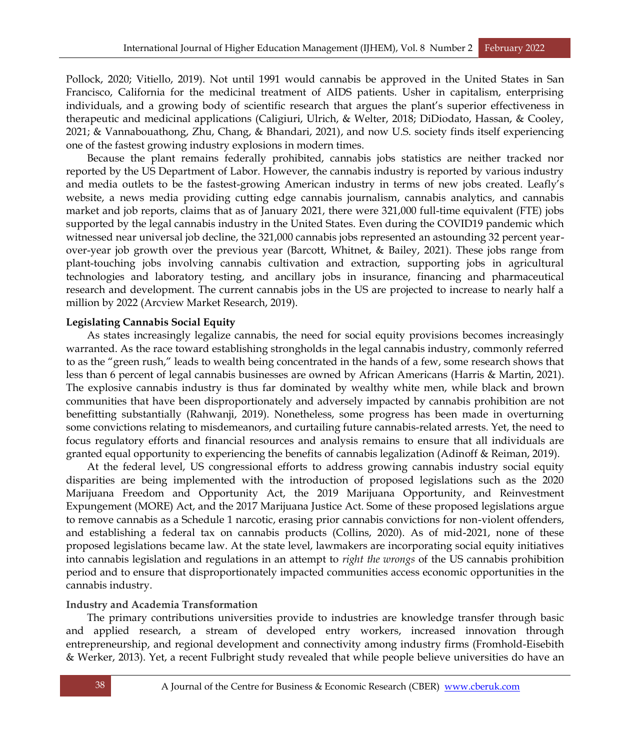Pollock, 2020; Vitiello, 2019). Not until 1991 would cannabis be approved in the United States in San Francisco, California for the medicinal treatment of AIDS patients. Usher in capitalism, enterprising individuals, and a growing body of scientific research that argues the plant's superior effectiveness in therapeutic and medicinal applications (Caligiuri, Ulrich, & Welter, 2018; DiDiodato, Hassan, & Cooley, 2021; & Vannabouathong, Zhu, Chang, & Bhandari, 2021), and now U.S. society finds itself experiencing one of the fastest growing industry explosions in modern times.

Because the plant remains federally prohibited, cannabis jobs statistics are neither tracked nor reported by the US Department of Labor. However, the cannabis industry is reported by various industry and media outlets to be the fastest-growing American industry in terms of new jobs created. Leafly's website, a news media providing cutting edge cannabis journalism, cannabis analytics, and cannabis market and job reports, claims that as of January 2021, there were 321,000 full-time equivalent (FTE) jobs supported by the legal cannabis industry in the United States. Even during the COVID19 pandemic which witnessed near universal job decline, the 321,000 cannabis jobs represented an astounding 32 percent yearover-year job growth over the previous year (Barcott, Whitnet, & Bailey, 2021). These jobs range from plant-touching jobs involving cannabis cultivation and extraction, supporting jobs in agricultural technologies and laboratory testing, and ancillary jobs in insurance, financing and pharmaceutical research and development. The current cannabis jobs in the US are projected to increase to nearly half a million by 2022 (Arcview Market Research, 2019).

### **Legislating Cannabis Social Equity**

As states increasingly legalize cannabis, the need for social equity provisions becomes increasingly warranted. As the race toward establishing strongholds in the legal cannabis industry, commonly referred to as the "green rush," leads to wealth being concentrated in the hands of a few, some research shows that less than 6 percent of legal cannabis businesses are owned by African Americans (Harris & Martin, 2021). The explosive cannabis industry is thus far dominated by wealthy white men, while black and brown communities that have been disproportionately and adversely impacted by cannabis prohibition are not benefitting substantially (Rahwanji, 2019). Nonetheless, some progress has been made in overturning some convictions relating to misdemeanors, and curtailing future cannabis-related arrests. Yet, the need to focus regulatory efforts and financial resources and analysis remains to ensure that all individuals are granted equal opportunity to experiencing the benefits of cannabis legalization (Adinoff & Reiman, 2019).

At the federal level, US congressional efforts to address growing cannabis industry social equity disparities are being implemented with the introduction of proposed legislations such as the 2020 Marijuana Freedom and Opportunity Act, the 2019 Marijuana Opportunity, and Reinvestment Expungement (MORE) Act, and the 2017 Marijuana Justice Act. Some of these proposed legislations argue to remove cannabis as a Schedule 1 narcotic, erasing prior cannabis convictions for non-violent offenders, and establishing a federal tax on cannabis products (Collins, 2020). As of mid-2021, none of these proposed legislations became law. At the state level, lawmakers are incorporating social equity initiatives into cannabis legislation and regulations in an attempt to *right the wrongs* of the US cannabis prohibition period and to ensure that disproportionately impacted communities access economic opportunities in the cannabis industry.

# **Industry and Academia Transformation**

The primary contributions universities provide to industries are knowledge transfer through basic and applied research, a stream of developed entry workers, increased innovation through entrepreneurship, and regional development and connectivity among industry firms (Fromhold-Eisebith & Werker, 2013). Yet, a recent Fulbright study revealed that while people believe universities do have an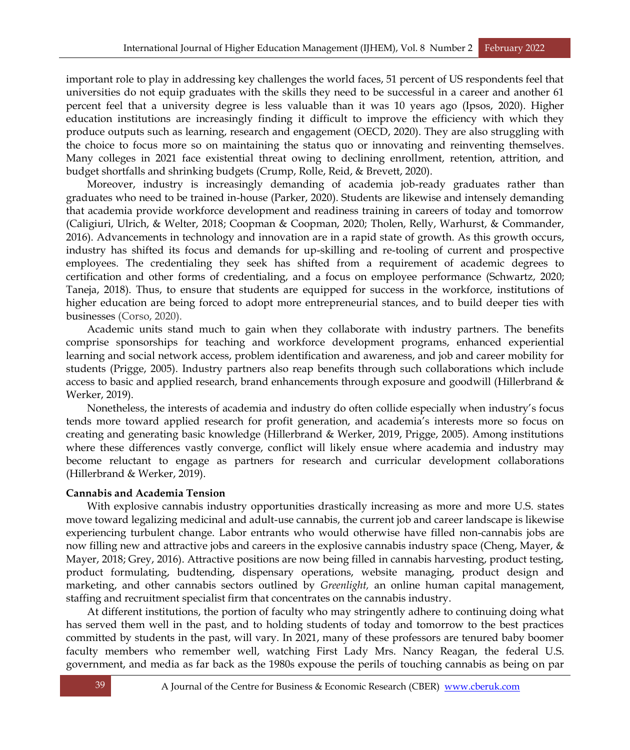important role to play in addressing key challenges the world faces, 51 percent of US respondents feel that universities do not equip graduates with the skills they need to be successful in a career and another 61 percent feel that a university degree is less valuable than it was 10 years ago (Ipsos, 2020). Higher education institutions are increasingly finding it difficult to improve the efficiency with which they produce outputs such as learning, research and engagement (OECD, 2020). They are also struggling with the choice to focus more so on maintaining the status quo or innovating and reinventing themselves. Many colleges in 2021 face existential threat owing to declining enrollment, retention, attrition, and budget shortfalls and shrinking budgets (Crump, Rolle, Reid, & Brevett, 2020).

Moreover, industry is increasingly demanding of academia job-ready graduates rather than graduates who need to be trained in-house (Parker, 2020). Students are likewise and intensely demanding that academia provide workforce development and readiness training in careers of today and tomorrow (Caligiuri, Ulrich, & Welter, 2018; Coopman & Coopman, 2020; Tholen, Relly, Warhurst, & Commander, 2016). Advancements in technology and innovation are in a rapid state of growth. As this growth occurs, industry has shifted its focus and demands for up-skilling and re-tooling of current and prospective employees. The credentialing they seek has shifted from a requirement of academic degrees to certification and other forms of credentialing, and a focus on employee performance (Schwartz, 2020; Taneja, 2018). Thus, to ensure that students are equipped for success in the workforce, institutions of higher education are being forced to adopt more entrepreneurial stances, and to build deeper ties with businesses (Corso, 2020).

Academic units stand much to gain when they collaborate with industry partners. The benefits comprise sponsorships for teaching and workforce development programs, enhanced experiential learning and social network access, problem identification and awareness, and job and career mobility for students (Prigge, 2005). Industry partners also reap benefits through such collaborations which include access to basic and applied research, brand enhancements through exposure and goodwill (Hillerbrand & Werker, 2019).

Nonetheless, the interests of academia and industry do often collide especially when industry's focus tends more toward applied research for profit generation, and academia's interests more so focus on creating and generating basic knowledge (Hillerbrand & Werker, 2019, Prigge, 2005). Among institutions where these differences vastly converge, conflict will likely ensue where academia and industry may become reluctant to engage as partners for research and curricular development collaborations (Hillerbrand & Werker, 2019).

# **Cannabis and Academia Tension**

With explosive cannabis industry opportunities drastically increasing as more and more U.S. states move toward legalizing medicinal and adult-use cannabis, the current job and career landscape is likewise experiencing turbulent change. Labor entrants who would otherwise have filled non-cannabis jobs are now filling new and attractive jobs and careers in the explosive cannabis industry space (Cheng, Mayer, & Mayer, 2018; Grey, 2016). Attractive positions are now being filled in cannabis harvesting, product testing, product formulating, budtending, dispensary operations, website managing, product design and marketing, and other cannabis sectors outlined by *Greenlight,* an online human capital management, staffing and recruitment specialist firm that concentrates on the cannabis industry.

At different institutions, the portion of faculty who may stringently adhere to continuing doing what has served them well in the past, and to holding students of today and tomorrow to the best practices committed by students in the past, will vary. In 2021, many of these professors are tenured baby boomer faculty members who remember well, watching First Lady Mrs. Nancy Reagan, the federal U.S. government, and media as far back as the 1980s expouse the perils of touching cannabis as being on par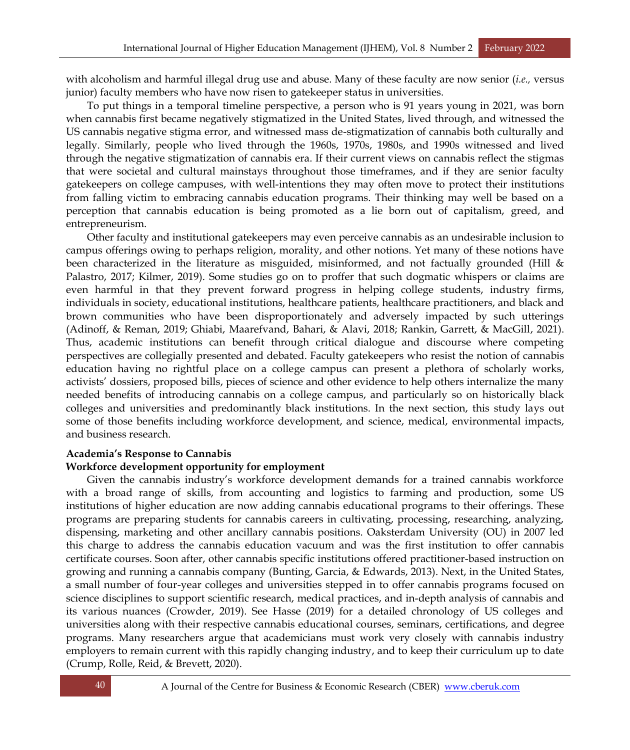with alcoholism and harmful illegal drug use and abuse. Many of these faculty are now senior (*i.e.,* versus junior) faculty members who have now risen to gatekeeper status in universities.

To put things in a temporal timeline perspective, a person who is 91 years young in 2021, was born when cannabis first became negatively stigmatized in the United States, lived through, and witnessed the US cannabis negative stigma error, and witnessed mass de-stigmatization of cannabis both culturally and legally. Similarly, people who lived through the 1960s, 1970s, 1980s, and 1990s witnessed and lived through the negative stigmatization of cannabis era. If their current views on cannabis reflect the stigmas that were societal and cultural mainstays throughout those timeframes, and if they are senior faculty gatekeepers on college campuses, with well-intentions they may often move to protect their institutions from falling victim to embracing cannabis education programs. Their thinking may well be based on a perception that cannabis education is being promoted as a lie born out of capitalism, greed, and entrepreneurism.

Other faculty and institutional gatekeepers may even perceive cannabis as an undesirable inclusion to campus offerings owing to perhaps religion, morality, and other notions. Yet many of these notions have been characterized in the literature as misguided, misinformed, and not factually grounded (Hill & Palastro, 2017; Kilmer, 2019). Some studies go on to proffer that such dogmatic whispers or claims are even harmful in that they prevent forward progress in helping college students, industry firms, individuals in society, educational institutions, healthcare patients, healthcare practitioners, and black and brown communities who have been disproportionately and adversely impacted by such utterings (Adinoff, & Reman, 2019; Ghiabi, Maarefvand, Bahari, & Alavi, 2018; Rankin, Garrett, & MacGill, 2021). Thus, academic institutions can benefit through critical dialogue and discourse where competing perspectives are collegially presented and debated. Faculty gatekeepers who resist the notion of cannabis education having no rightful place on a college campus can present a plethora of scholarly works, activists' dossiers, proposed bills, pieces of science and other evidence to help others internalize the many needed benefits of introducing cannabis on a college campus, and particularly so on historically black colleges and universities and predominantly black institutions. In the next section, this study lays out some of those benefits including workforce development, and science, medical, environmental impacts, and business research.

#### **Academia's Response to Cannabis**

#### **Workforce development opportunity for employment**

Given the cannabis industry's workforce development demands for a trained cannabis workforce with a broad range of skills, from accounting and logistics to farming and production, some US institutions of higher education are now adding cannabis educational programs to their offerings. These programs are preparing students for cannabis careers in cultivating, processing, researching, analyzing, dispensing, marketing and other ancillary cannabis positions. Oaksterdam University (OU) in 2007 led this charge to address the cannabis education vacuum and was the first institution to offer cannabis certificate courses. Soon after, other cannabis specific institutions offered practitioner-based instruction on growing and running a cannabis company (Bunting, Garcia, & Edwards, 2013). Next, in the United States, a small number of four-year colleges and universities stepped in to offer cannabis programs focused on science disciplines to support scientific research, medical practices, and in-depth analysis of cannabis and its various nuances (Crowder, 2019). See Hasse (2019) for a detailed chronology of US colleges and universities along with their respective cannabis educational courses, seminars, certifications, and degree programs. Many researchers argue that academicians must work very closely with cannabis industry employers to remain current with this rapidly changing industry, and to keep their curriculum up to date (Crump, Rolle, Reid, & Brevett, 2020).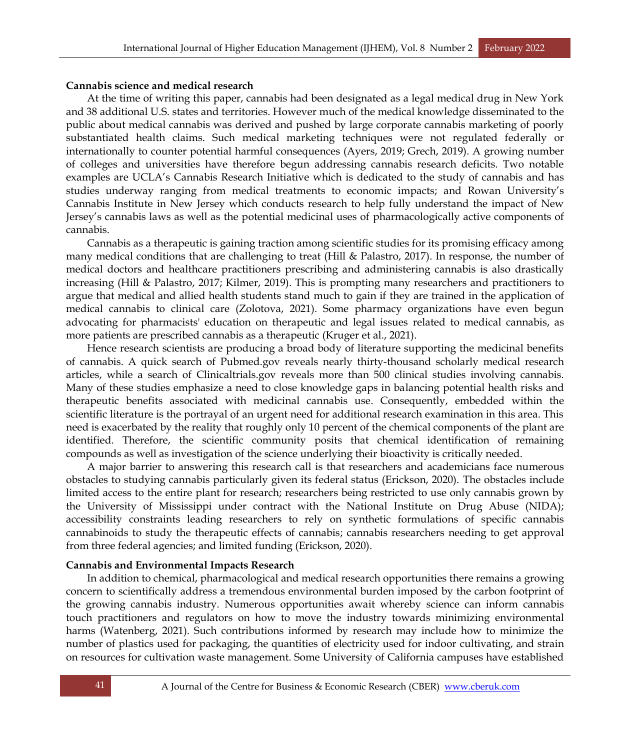### **Cannabis science and medical research**

At the time of writing this paper, cannabis had been designated as a legal medical drug in New York and 38 additional U.S. states and territories. However much of the medical knowledge disseminated to the public about medical cannabis was derived and pushed by large corporate cannabis marketing of poorly substantiated health claims. Such medical marketing techniques were not regulated federally or internationally to counter potential harmful consequences (Ayers, 2019; Grech, 2019). A growing number of colleges and universities have therefore begun addressing cannabis research deficits. Two notable examples are UCLA's Cannabis Research Initiative which is dedicated to the study of cannabis and has studies underway ranging from medical treatments to economic impacts; and Rowan University's Cannabis Institute in New Jersey which conducts research to help fully understand the impact of New Jersey's cannabis laws as well as the potential medicinal uses of pharmacologically active components of cannabis.

Cannabis as a therapeutic is gaining traction among scientific studies for its promising efficacy among many medical conditions that are challenging to treat (Hill & Palastro, 2017). In response, the number of medical doctors and healthcare practitioners prescribing and administering cannabis is also drastically increasing (Hill & Palastro, 2017; Kilmer, 2019). This is prompting many researchers and practitioners to argue that medical and allied health students stand much to gain if they are trained in the application of medical cannabis to clinical care (Zolotova, 2021). Some pharmacy organizations have even begun advocating for pharmacists' education on therapeutic and legal issues related to medical cannabis, as more patients are prescribed cannabis as a therapeutic (Kruger et al., 2021).

Hence research scientists are producing a broad body of literature supporting the medicinal benefits of cannabis. A quick search of Pubmed.gov reveals nearly thirty-thousand scholarly medical research articles, while a search of Clinicaltrials.gov reveals more than 500 clinical studies involving cannabis. Many of these studies emphasize a need to close knowledge gaps in balancing potential health risks and therapeutic benefits associated with medicinal cannabis use. Consequently, embedded within the scientific literature is the portrayal of an urgent need for additional research examination in this area. This need is exacerbated by the reality that roughly only 10 percent of the chemical components of the plant are identified. Therefore, the scientific community posits that chemical identification of remaining compounds as well as investigation of the science underlying their bioactivity is critically needed.

A major barrier to answering this research call is that researchers and academicians face numerous obstacles to studying cannabis particularly given its federal status (Erickson, 2020). The obstacles include limited access to the entire plant for research; researchers being restricted to use only cannabis grown by the University of Mississippi under contract with the National Institute on Drug Abuse (NIDA); accessibility constraints leading researchers to rely on synthetic formulations of specific cannabis cannabinoids to study the therapeutic effects of cannabis; cannabis researchers needing to get approval from three federal agencies; and limited funding (Erickson, 2020).

#### **Cannabis and Environmental Impacts Research**

In addition to chemical, pharmacological and medical research opportunities there remains a growing concern to scientifically address a tremendous environmental burden imposed by the carbon footprint of the growing cannabis industry. Numerous opportunities await whereby science can inform cannabis touch practitioners and regulators on how to move the industry towards minimizing environmental harms (Watenberg, 2021). Such contributions informed by research may include how to minimize the number of plastics used for packaging, the quantities of electricity used for indoor cultivating, and strain on resources for cultivation waste management. Some University of California campuses have established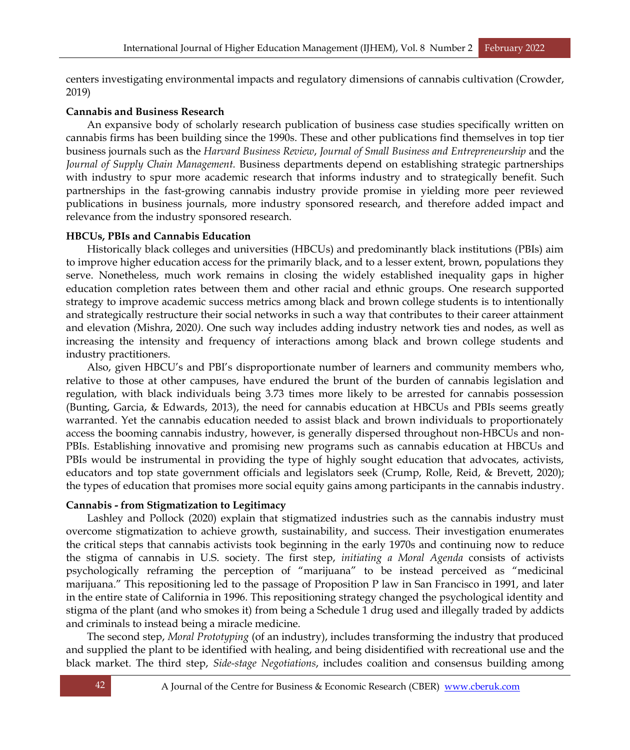centers investigating environmental impacts and regulatory dimensions of cannabis cultivation (Crowder, 2019)

### **Cannabis and Business Research**

An expansive body of scholarly research publication of business case studies specifically written on cannabis firms has been building since the 1990s. These and other publications find themselves in top tier business journals such as the *Harvard Business Review*, *Journal of Small Business and Entrepreneurship* and the *Journal of Supply Chain Management.* Business departments depend on establishing strategic partnerships with industry to spur more academic research that informs industry and to strategically benefit. Such partnerships in the fast-growing cannabis industry provide promise in yielding more peer reviewed publications in business journals, more industry sponsored research, and therefore added impact and relevance from the industry sponsored research.

### **HBCUs, PBIs and Cannabis Education**

Historically black colleges and universities (HBCUs) and predominantly black institutions (PBIs) aim to improve higher education access for the primarily black, and to a lesser extent, brown, populations they serve. Nonetheless, much work remains in closing the widely established inequality gaps in higher education completion rates between them and other racial and ethnic groups. One research supported strategy to improve academic success metrics among black and brown college students is to intentionally and strategically restructure their social networks in such a way that contributes to their career attainment and elevation *(*Mishra, 2020*)*. One such way includes adding industry network ties and nodes, as well as increasing the intensity and frequency of interactions among black and brown college students and industry practitioners.

Also, given HBCU's and PBI's disproportionate number of learners and community members who, relative to those at other campuses, have endured the brunt of the burden of cannabis legislation and regulation, with black individuals being 3.73 times more likely to be arrested for cannabis possession (Bunting, Garcia, & Edwards, 2013), the need for cannabis education at HBCUs and PBIs seems greatly warranted. Yet the cannabis education needed to assist black and brown individuals to proportionately access the booming cannabis industry, however, is generally dispersed throughout non-HBCUs and non-PBIs. Establishing innovative and promising new programs such as cannabis education at HBCUs and PBIs would be instrumental in providing the type of highly sought education that advocates, activists, educators and top state government officials and legislators seek (Crump, Rolle, Reid, & Brevett, 2020); the types of education that promises more social equity gains among participants in the cannabis industry.

# **Cannabis - from Stigmatization to Legitimacy**

Lashley and Pollock (2020) explain that stigmatized industries such as the cannabis industry must overcome stigmatization to achieve growth, sustainability, and success. Their investigation enumerates the critical steps that cannabis activists took beginning in the early 1970s and continuing now to reduce the stigma of cannabis in U.S. society. The first step, *initiating a Moral Agenda* consists of activists psychologically reframing the perception of "marijuana" to be instead perceived as "medicinal marijuana." This repositioning led to the passage of Proposition P law in San Francisco in 1991, and later in the entire state of California in 1996. This repositioning strategy changed the psychological identity and stigma of the plant (and who smokes it) from being a Schedule 1 drug used and illegally traded by addicts and criminals to instead being a miracle medicine.

The second step, *Moral Prototyping* (of an industry), includes transforming the industry that produced and supplied the plant to be identified with healing, and being disidentified with recreational use and the black market. The third step, *Side-stage Negotiations*, includes coalition and consensus building among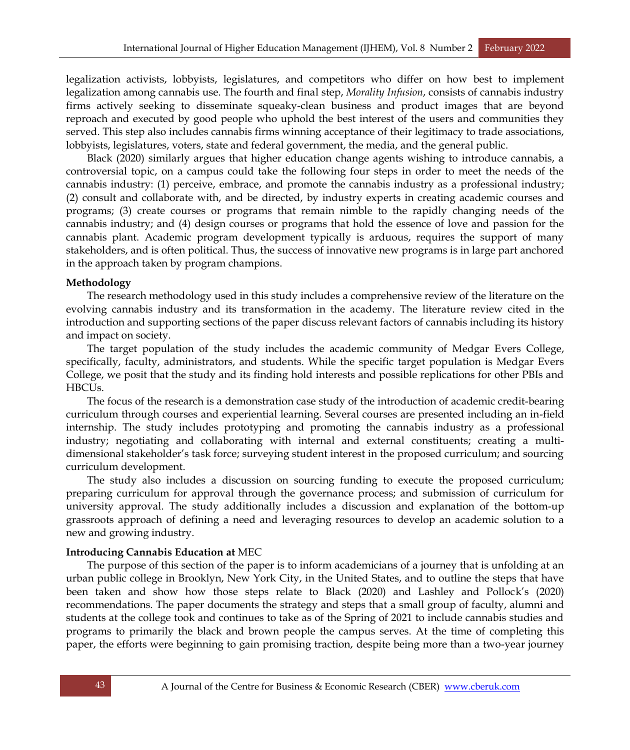legalization activists, lobbyists, legislatures, and competitors who differ on how best to implement legalization among cannabis use. The fourth and final step, *Morality Infusion*, consists of cannabis industry firms actively seeking to disseminate squeaky-clean business and product images that are beyond reproach and executed by good people who uphold the best interest of the users and communities they served. This step also includes cannabis firms winning acceptance of their legitimacy to trade associations, lobbyists, legislatures, voters, state and federal government, the media, and the general public.

Black (2020) similarly argues that higher education change agents wishing to introduce cannabis, a controversial topic, on a campus could take the following four steps in order to meet the needs of the cannabis industry: (1) perceive, embrace, and promote the cannabis industry as a professional industry; (2) consult and collaborate with, and be directed, by industry experts in creating academic courses and programs; (3) create courses or programs that remain nimble to the rapidly changing needs of the cannabis industry; and (4) design courses or programs that hold the essence of love and passion for the cannabis plant. Academic program development typically is arduous, requires the support of many stakeholders, and is often political. Thus, the success of innovative new programs is in large part anchored in the approach taken by program champions.

### **Methodology**

The research methodology used in this study includes a comprehensive review of the literature on the evolving cannabis industry and its transformation in the academy. The literature review cited in the introduction and supporting sections of the paper discuss relevant factors of cannabis including its history and impact on society.

The target population of the study includes the academic community of Medgar Evers College, specifically, faculty, administrators, and students. While the specific target population is Medgar Evers College, we posit that the study and its finding hold interests and possible replications for other PBIs and HBCUs.

The focus of the research is a demonstration case study of the introduction of academic credit-bearing curriculum through courses and experiential learning. Several courses are presented including an in-field internship. The study includes prototyping and promoting the cannabis industry as a professional industry; negotiating and collaborating with internal and external constituents; creating a multidimensional stakeholder's task force; surveying student interest in the proposed curriculum; and sourcing curriculum development.

The study also includes a discussion on sourcing funding to execute the proposed curriculum; preparing curriculum for approval through the governance process; and submission of curriculum for university approval. The study additionally includes a discussion and explanation of the bottom-up grassroots approach of defining a need and leveraging resources to develop an academic solution to a new and growing industry.

#### **Introducing Cannabis Education at** MEC

The purpose of this section of the paper is to inform academicians of a journey that is unfolding at an urban public college in Brooklyn, New York City, in the United States, and to outline the steps that have been taken and show how those steps relate to Black (2020) and Lashley and Pollock's (2020) recommendations. The paper documents the strategy and steps that a small group of faculty, alumni and students at the college took and continues to take as of the Spring of 2021 to include cannabis studies and programs to primarily the black and brown people the campus serves. At the time of completing this paper, the efforts were beginning to gain promising traction, despite being more than a two-year journey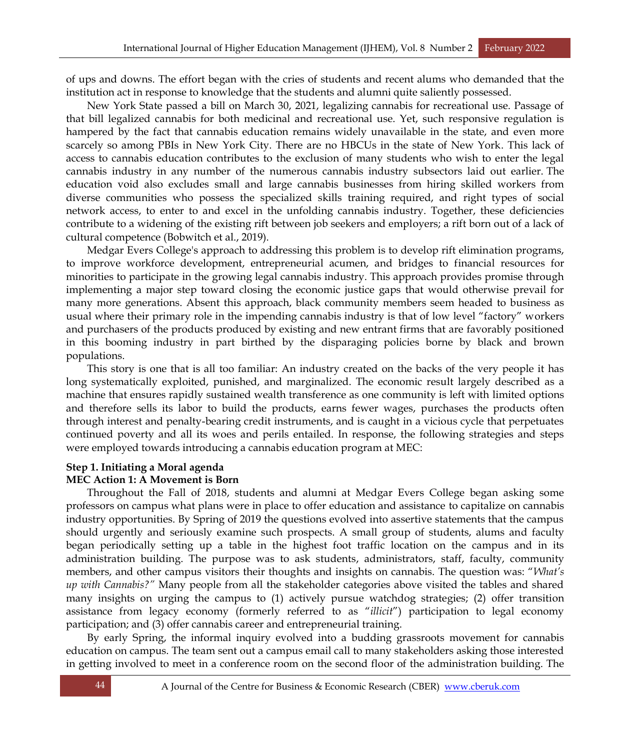of ups and downs. The effort began with the cries of students and recent alums who demanded that the institution act in response to knowledge that the students and alumni quite saliently possessed.

New York State passed a bill on March 30, 2021, legalizing cannabis for recreational use. Passage of that bill legalized cannabis for both medicinal and recreational use. Yet, such responsive regulation is hampered by the fact that cannabis education remains widely unavailable in the state, and even more scarcely so among PBIs in New York City. There are no HBCUs in the state of New York. This lack of access to cannabis education contributes to the exclusion of many students who wish to enter the legal cannabis industry in any number of the numerous cannabis industry subsectors laid out earlier. The education void also excludes small and large cannabis businesses from hiring skilled workers from diverse communities who possess the specialized skills training required, and right types of social network access, to enter to and excel in the unfolding cannabis industry. Together, these deficiencies contribute to a widening of the existing rift between job seekers and employers; a rift born out of a lack of cultural competence (Bobwitch et al., 2019).

Medgar Evers College's approach to addressing this problem is to develop rift elimination programs, to improve workforce development, entrepreneurial acumen, and bridges to financial resources for minorities to participate in the growing legal cannabis industry. This approach provides promise through implementing a major step toward closing the economic justice gaps that would otherwise prevail for many more generations. Absent this approach, black community members seem headed to business as usual where their primary role in the impending cannabis industry is that of low level "factory" workers and purchasers of the products produced by existing and new entrant firms that are favorably positioned in this booming industry in part birthed by the disparaging policies borne by black and brown populations.

This story is one that is all too familiar: An industry created on the backs of the very people it has long systematically exploited, punished, and marginalized. The economic result largely described as a machine that ensures rapidly sustained wealth transference as one community is left with limited options and therefore sells its labor to build the products, earns fewer wages, purchases the products often through interest and penalty-bearing credit instruments, and is caught in a vicious cycle that perpetuates continued poverty and all its woes and perils entailed. In response, the following strategies and steps were employed towards introducing a cannabis education program at MEC:

#### **Step 1. Initiating a Moral agenda MEC Action 1: A Movement is Born**

Throughout the Fall of 2018, students and alumni at Medgar Evers College began asking some professors on campus what plans were in place to offer education and assistance to capitalize on cannabis industry opportunities. By Spring of 2019 the questions evolved into assertive statements that the campus should urgently and seriously examine such prospects. A small group of students, alums and faculty began periodically setting up a table in the highest foot traffic location on the campus and in its administration building. The purpose was to ask students, administrators, staff, faculty, community members, and other campus visitors their thoughts and insights on cannabis. The question was: "*What's up with Cannabis?"* Many people from all the stakeholder categories above visited the tables and shared many insights on urging the campus to (1) actively pursue watchdog strategies; (2) offer transition assistance from legacy economy (formerly referred to as "*illicit*") participation to legal economy participation; and (3) offer cannabis career and entrepreneurial training.

By early Spring, the informal inquiry evolved into a budding grassroots movement for cannabis education on campus. The team sent out a campus email call to many stakeholders asking those interested in getting involved to meet in a conference room on the second floor of the administration building. The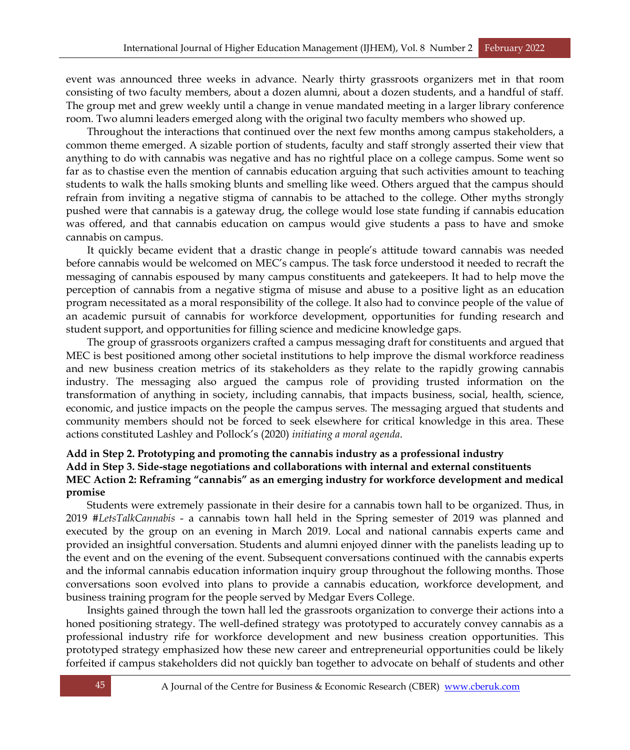event was announced three weeks in advance. Nearly thirty grassroots organizers met in that room consisting of two faculty members, about a dozen alumni, about a dozen students, and a handful of staff. The group met and grew weekly until a change in venue mandated meeting in a larger library conference room. Two alumni leaders emerged along with the original two faculty members who showed up.

Throughout the interactions that continued over the next few months among campus stakeholders, a common theme emerged. A sizable portion of students, faculty and staff strongly asserted their view that anything to do with cannabis was negative and has no rightful place on a college campus. Some went so far as to chastise even the mention of cannabis education arguing that such activities amount to teaching students to walk the halls smoking blunts and smelling like weed. Others argued that the campus should refrain from inviting a negative stigma of cannabis to be attached to the college. Other myths strongly pushed were that cannabis is a gateway drug, the college would lose state funding if cannabis education was offered, and that cannabis education on campus would give students a pass to have and smoke cannabis on campus.

It quickly became evident that a drastic change in people's attitude toward cannabis was needed before cannabis would be welcomed on MEC's campus. The task force understood it needed to recraft the messaging of cannabis espoused by many campus constituents and gatekeepers. It had to help move the perception of cannabis from a negative stigma of misuse and abuse to a positive light as an education program necessitated as a moral responsibility of the college. It also had to convince people of the value of an academic pursuit of cannabis for workforce development, opportunities for funding research and student support, and opportunities for filling science and medicine knowledge gaps.

The group of grassroots organizers crafted a campus messaging draft for constituents and argued that MEC is best positioned among other societal institutions to help improve the dismal workforce readiness and new business creation metrics of its stakeholders as they relate to the rapidly growing cannabis industry. The messaging also argued the campus role of providing trusted information on the transformation of anything in society, including cannabis, that impacts business, social, health, science, economic, and justice impacts on the people the campus serves. The messaging argued that students and community members should not be forced to seek elsewhere for critical knowledge in this area. These actions constituted Lashley and Pollock's (2020) *initiating a moral agenda*.

# **Add in Step 2. Prototyping and promoting the cannabis industry as a professional industry Add in Step 3. Side-stage negotiations and collaborations with internal and external constituents MEC Action 2: Reframing "cannabis" as an emerging industry for workforce development and medical promise**

Students were extremely passionate in their desire for a cannabis town hall to be organized. Thus, in 2019 *#LetsTalkCannabis* - a cannabis town hall held in the Spring semester of 2019 was planned and executed by the group on an evening in March 2019. Local and national cannabis experts came and provided an insightful conversation. Students and alumni enjoyed dinner with the panelists leading up to the event and on the evening of the event. Subsequent conversations continued with the cannabis experts and the informal cannabis education information inquiry group throughout the following months. Those conversations soon evolved into plans to provide a cannabis education, workforce development, and business training program for the people served by Medgar Evers College.

Insights gained through the town hall led the grassroots organization to converge their actions into a honed positioning strategy. The well-defined strategy was prototyped to accurately convey cannabis as a professional industry rife for workforce development and new business creation opportunities. This prototyped strategy emphasized how these new career and entrepreneurial opportunities could be likely forfeited if campus stakeholders did not quickly ban together to advocate on behalf of students and other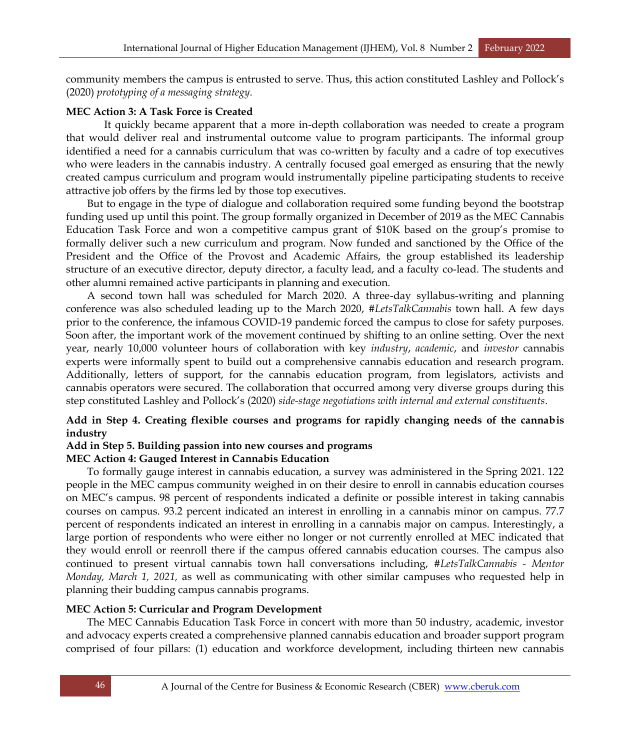community members the campus is entrusted to serve. Thus, this action constituted Lashley and Pollock's (2020) *prototyping of a messaging strategy*.

# **MEC Action 3: A Task Force is Created**

It quickly became apparent that a more in-depth collaboration was needed to create a program that would deliver real and instrumental outcome value to program participants. The informal group identified a need for a cannabis curriculum that was co-written by faculty and a cadre of top executives who were leaders in the cannabis industry. A centrally focused goal emerged as ensuring that the newly created campus curriculum and program would instrumentally pipeline participating students to receive attractive job offers by the firms led by those top executives.

But to engage in the type of dialogue and collaboration required some funding beyond the bootstrap funding used up until this point. The group formally organized in December of 2019 as the MEC Cannabis Education Task Force and won a competitive campus grant of \$10K based on the group's promise to formally deliver such a new curriculum and program. Now funded and sanctioned by the Office of the President and the Office of the Provost and Academic Affairs, the group established its leadership structure of an executive director, deputy director, a faculty lead, and a faculty co-lead. The students and other alumni remained active participants in planning and execution.

A second town hall was scheduled for March 2020. A three-day syllabus-writing and planning conference was also scheduled leading up to the March 2020, *#LetsTalkCannabis* town hall. A few days prior to the conference, the infamous COVID-19 pandemic forced the campus to close for safety purposes. Soon after, the important work of the movement continued by shifting to an online setting. Over the next year, nearly 10,000 volunteer hours of collaboration with key *industry*, *academic*, and *investor* cannabis experts were informally spent to build out a comprehensive cannabis education and research program. Additionally, letters of support, for the cannabis education program, from legislators, activists and cannabis operators were secured. The collaboration that occurred among very diverse groups during this step constituted Lashley and Pollock's (2020) *side-stage negotiations with internal and external constituents*.

# **Add in Step 4. Creating flexible courses and programs for rapidly changing needs of the cannabis industry**

# **Add in Step 5. Building passion into new courses and programs**

# **MEC Action 4: Gauged Interest in Cannabis Education**

To formally gauge interest in cannabis education, a survey was administered in the Spring 2021. 122 people in the MEC campus community weighed in on their desire to enroll in cannabis education courses on MEC's campus. 98 percent of respondents indicated a definite or possible interest in taking cannabis courses on campus. 93.2 percent indicated an interest in enrolling in a cannabis minor on campus. 77.7 percent of respondents indicated an interest in enrolling in a cannabis major on campus. Interestingly, a large portion of respondents who were either no longer or not currently enrolled at MEC indicated that they would enroll or reenroll there if the campus offered cannabis education courses. The campus also continued to present virtual cannabis town hall conversations including, *#LetsTalkCannabis - Mentor Monday, March 1, 2021,* as well as communicating with other similar campuses who requested help in planning their budding campus cannabis programs.

# **MEC Action 5: Curricular and Program Development**

The MEC Cannabis Education Task Force in concert with more than 50 industry, academic, investor and advocacy experts created a comprehensive planned cannabis education and broader support program comprised of four pillars: (1) education and workforce development, including thirteen new cannabis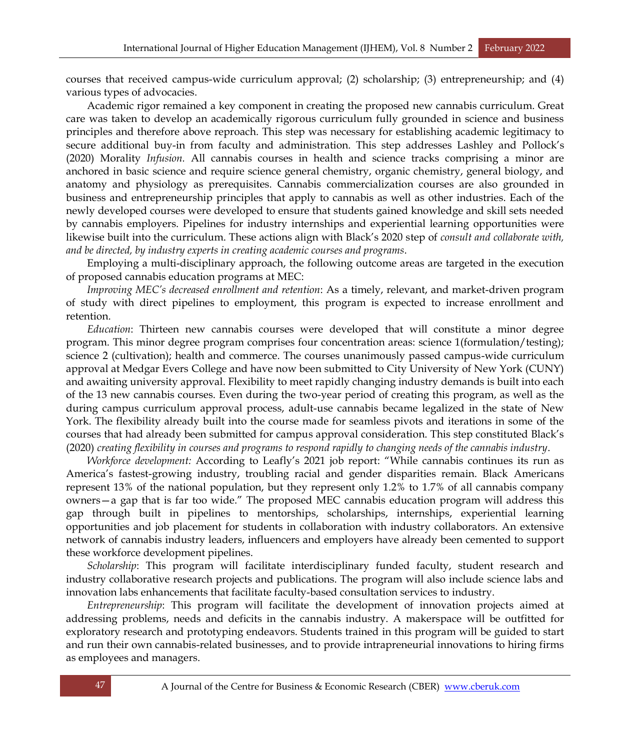courses that received campus-wide curriculum approval; (2) scholarship; (3) entrepreneurship; and (4) various types of advocacies.

Academic rigor remained a key component in creating the proposed new cannabis curriculum. Great care was taken to develop an academically rigorous curriculum fully grounded in science and business principles and therefore above reproach. This step was necessary for establishing academic legitimacy to secure additional buy-in from faculty and administration. This step addresses Lashley and Pollock's (2020) Morality *Infusion.* All cannabis courses in health and science tracks comprising a minor are anchored in basic science and require science general chemistry, organic chemistry, general biology, and anatomy and physiology as prerequisites. Cannabis commercialization courses are also grounded in business and entrepreneurship principles that apply to cannabis as well as other industries. Each of the newly developed courses were developed to ensure that students gained knowledge and skill sets needed by cannabis employers. Pipelines for industry internships and experiential learning opportunities were likewise built into the curriculum. These actions align with Black's 2020 step of *consult and collaborate with, and be directed, by industry experts in creating academic courses and programs*.

Employing a multi-disciplinary approach, the following outcome areas are targeted in the execution of proposed cannabis education programs at MEC:

*Improving MEC's decreased enrollment and retention*: As a timely, relevant, and market-driven program of study with direct pipelines to employment, this program is expected to increase enrollment and retention.

*Education*: Thirteen new cannabis courses were developed that will constitute a minor degree program. This minor degree program comprises four concentration areas: science 1(formulation/testing); science 2 (cultivation); health and commerce. The courses unanimously passed campus-wide curriculum approval at Medgar Evers College and have now been submitted to City University of New York (CUNY) and awaiting university approval. Flexibility to meet rapidly changing industry demands is built into each of the 13 new cannabis courses. Even during the two-year period of creating this program, as well as the during campus curriculum approval process, adult-use cannabis became legalized in the state of New York. The flexibility already built into the course made for seamless pivots and iterations in some of the courses that had already been submitted for campus approval consideration. This step constituted Black's (2020) *creating flexibility in courses and programs to respond rapidly to changing needs of the cannabis industry*.

*Workforce development:* According to Leafly's 2021 job report: "While cannabis continues its run as America's fastest-growing industry, troubling racial and gender disparities remain. Black Americans represent 13% of the national population, but they represent only 1.2% to 1.7% of all cannabis company owners—a gap that is far too wide." The proposed MEC cannabis education program will address this gap through built in pipelines to mentorships, scholarships, internships, experiential learning opportunities and job placement for students in collaboration with industry collaborators. An extensive network of cannabis industry leaders, influencers and employers have already been cemented to support these workforce development pipelines.

*Scholarship*: This program will facilitate interdisciplinary funded faculty, student research and industry collaborative research projects and publications. The program will also include science labs and innovation labs enhancements that facilitate faculty-based consultation services to industry.

*Entrepreneurship*: This program will facilitate the development of innovation projects aimed at addressing problems, needs and deficits in the cannabis industry. A makerspace will be outfitted for exploratory research and prototyping endeavors. Students trained in this program will be guided to start and run their own cannabis-related businesses, and to provide intrapreneurial innovations to hiring firms as employees and managers.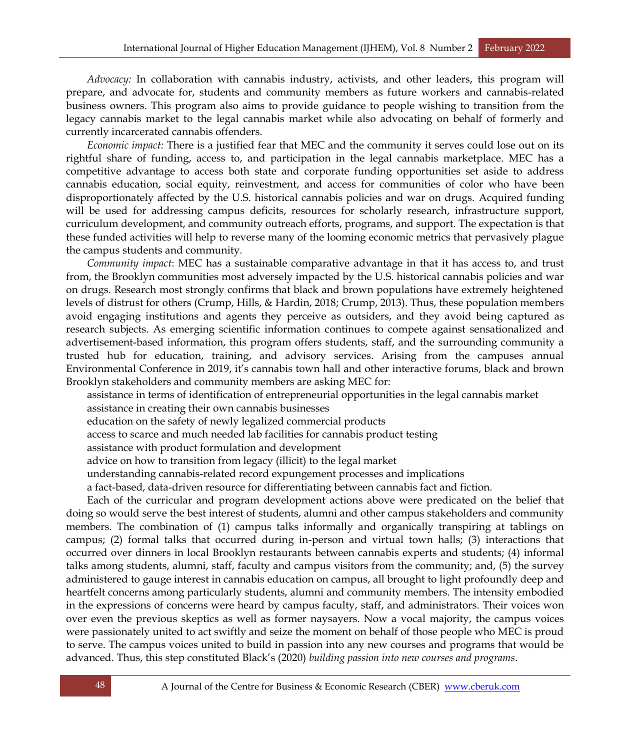*Advocacy:* In collaboration with cannabis industry, activists, and other leaders, this program will prepare, and advocate for, students and community members as future workers and cannabis-related business owners. This program also aims to provide guidance to people wishing to transition from the legacy cannabis market to the legal cannabis market while also advocating on behalf of formerly and currently incarcerated cannabis offenders.

*Economic impact:* There is a justified fear that MEC and the community it serves could lose out on its rightful share of funding, access to, and participation in the legal cannabis marketplace. MEC has a competitive advantage to access both state and corporate funding opportunities set aside to address cannabis education, social equity, reinvestment, and access for communities of color who have been disproportionately affected by the U.S. historical cannabis policies and war on drugs. Acquired funding will be used for addressing campus deficits, resources for scholarly research, infrastructure support, curriculum development, and community outreach efforts, programs, and support. The expectation is that these funded activities will help to reverse many of the looming economic metrics that pervasively plague the campus students and community.

*Community impact*: MEC has a sustainable comparative advantage in that it has access to, and trust from, the Brooklyn communities most adversely impacted by the U.S. historical cannabis policies and war on drugs. Research most strongly confirms that black and brown populations have extremely heightened levels of distrust for others (Crump, Hills, & Hardin, 2018; Crump, 2013). Thus, these population members avoid engaging institutions and agents they perceive as outsiders, and they avoid being captured as research subjects. As emerging scientific information continues to compete against sensationalized and advertisement-based information, this program offers students, staff, and the surrounding community a trusted hub for education, training, and advisory services. Arising from the campuses annual Environmental Conference in 2019, it's cannabis town hall and other interactive forums, black and brown Brooklyn stakeholders and community members are asking MEC for:

assistance in terms of identification of entrepreneurial opportunities in the legal cannabis market

- assistance in creating their own cannabis businesses
- education on the safety of newly legalized commercial products
- access to scarce and much needed lab facilities for cannabis product testing
- assistance with product formulation and development
- advice on how to transition from legacy (illicit) to the legal market
- understanding cannabis-related record expungement processes and implications
- a fact-based, data-driven resource for differentiating between cannabis fact and fiction.

Each of the curricular and program development actions above were predicated on the belief that doing so would serve the best interest of students, alumni and other campus stakeholders and community members. The combination of (1) campus talks informally and organically transpiring at tablings on campus; (2) formal talks that occurred during in-person and virtual town halls; (3) interactions that occurred over dinners in local Brooklyn restaurants between cannabis experts and students; (4) informal talks among students, alumni, staff, faculty and campus visitors from the community; and, (5) the survey administered to gauge interest in cannabis education on campus, all brought to light profoundly deep and heartfelt concerns among particularly students, alumni and community members. The intensity embodied in the expressions of concerns were heard by campus faculty, staff, and administrators. Their voices won over even the previous skeptics as well as former naysayers. Now a vocal majority, the campus voices were passionately united to act swiftly and seize the moment on behalf of those people who MEC is proud to serve. The campus voices united to build in passion into any new courses and programs that would be advanced. Thus, this step constituted Black's (2020) *building passion into new courses and programs*.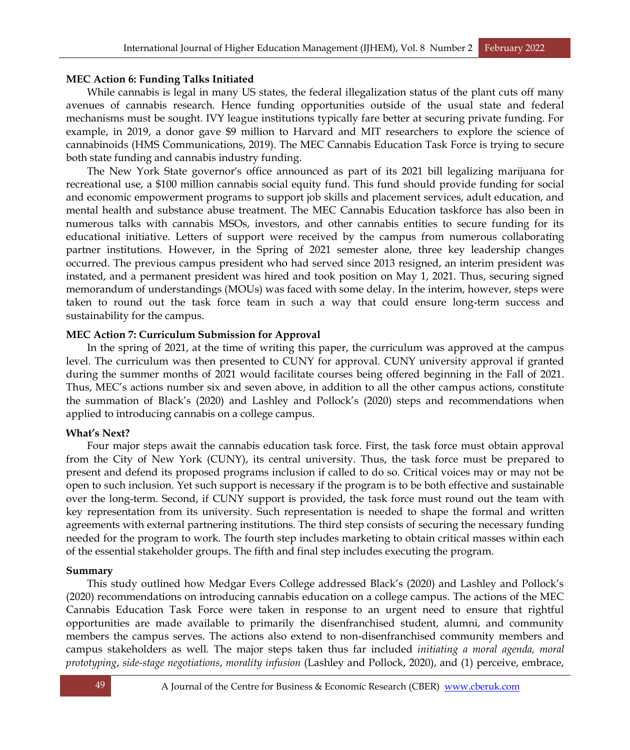### **MEC Action 6: Funding Talks Initiated**

While cannabis is legal in many US states, the federal illegalization status of the plant cuts off many avenues of cannabis research. Hence funding opportunities outside of the usual state and federal mechanisms must be sought. IVY league institutions typically fare better at securing private funding. For example, in 2019, a donor gave \$9 million to Harvard and MIT researchers to explore the science of cannabinoids (HMS Communications, 2019). The MEC Cannabis Education Task Force is trying to secure both state funding and cannabis industry funding.

The New York State governor's office announced as part of its 2021 bill legalizing marijuana for recreational use, a \$100 million cannabis social equity fund. This fund should provide funding for social and economic empowerment programs to support job skills and placement services, adult education, and mental health and substance abuse treatment. The MEC Cannabis Education taskforce has also been in numerous talks with cannabis MSOs, investors, and other cannabis entities to secure funding for its educational initiative. Letters of support were received by the campus from numerous collaborating partner institutions. However, in the Spring of 2021 semester alone, three key leadership changes occurred. The previous campus president who had served since 2013 resigned, an interim president was instated, and a permanent president was hired and took position on May 1, 2021. Thus, securing signed memorandum of understandings (MOUs) was faced with some delay. In the interim, however, steps were taken to round out the task force team in such a way that could ensure long-term success and sustainability for the campus.

### **MEC Action 7: Curriculum Submission for Approval**

In the spring of 2021, at the time of writing this paper, the curriculum was approved at the campus level. The curriculum was then presented to CUNY for approval. CUNY university approval if granted during the summer months of 2021 would facilitate courses being offered beginning in the Fall of 2021. Thus, MEC's actions number six and seven above, in addition to all the other campus actions, constitute the summation of Black's (2020) and Lashley and Pollock's (2020) steps and recommendations when applied to introducing cannabis on a college campus.

#### **What's Next?**

Four major steps await the cannabis education task force. First, the task force must obtain approval from the City of New York (CUNY), its central university. Thus, the task force must be prepared to present and defend its proposed programs inclusion if called to do so. Critical voices may or may not be open to such inclusion. Yet such support is necessary if the program is to be both effective and sustainable over the long-term. Second, if CUNY support is provided, the task force must round out the team with key representation from its university. Such representation is needed to shape the formal and written agreements with external partnering institutions. The third step consists of securing the necessary funding needed for the program to work. The fourth step includes marketing to obtain critical masses within each of the essential stakeholder groups. The fifth and final step includes executing the program.

#### **Summary**

This study outlined how Medgar Evers College addressed Black's (2020) and Lashley and Pollock's (2020) recommendations on introducing cannabis education on a college campus. The actions of the MEC Cannabis Education Task Force were taken in response to an urgent need to ensure that rightful opportunities are made available to primarily the disenfranchised student, alumni, and community members the campus serves. The actions also extend to non-disenfranchised community members and campus stakeholders as well. The major steps taken thus far included *initiating a moral agenda, moral prototyping*, *side-stage negotiations*, *morality infusion* (Lashley and Pollock, 2020), and (1) perceive, embrace,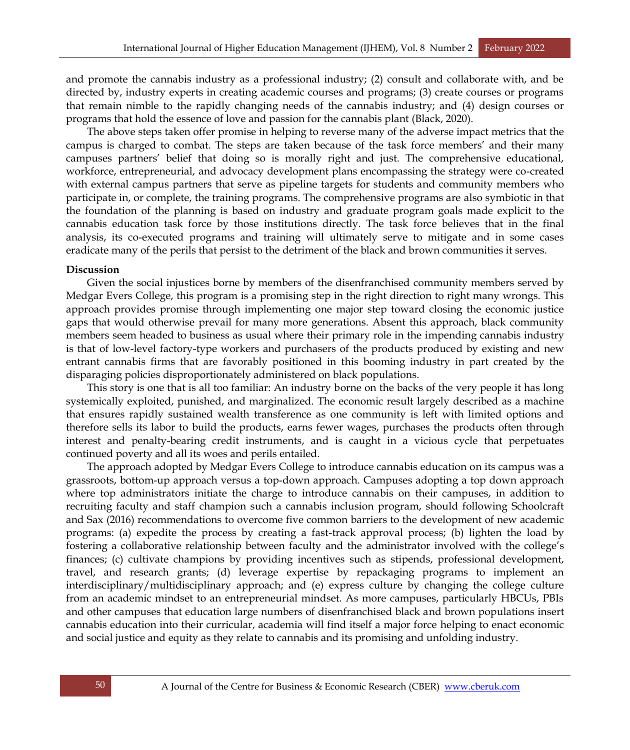and promote the cannabis industry as a professional industry; (2) consult and collaborate with, and be directed by, industry experts in creating academic courses and programs; (3) create courses or programs that remain nimble to the rapidly changing needs of the cannabis industry; and (4) design courses or programs that hold the essence of love and passion for the cannabis plant (Black, 2020).

The above steps taken offer promise in helping to reverse many of the adverse impact metrics that the campus is charged to combat. The steps are taken because of the task force members' and their many campuses partners' belief that doing so is morally right and just. The comprehensive educational, workforce, entrepreneurial, and advocacy development plans encompassing the strategy were co-created with external campus partners that serve as pipeline targets for students and community members who participate in, or complete, the training programs. The comprehensive programs are also symbiotic in that the foundation of the planning is based on industry and graduate program goals made explicit to the cannabis education task force by those institutions directly. The task force believes that in the final analysis, its co-executed programs and training will ultimately serve to mitigate and in some cases eradicate many of the perils that persist to the detriment of the black and brown communities it serves.

# **Discussion**

Given the social injustices borne by members of the disenfranchised community members served by Medgar Evers College, this program is a promising step in the right direction to right many wrongs. This approach provides promise through implementing one major step toward closing the economic justice gaps that would otherwise prevail for many more generations. Absent this approach, black community members seem headed to business as usual where their primary role in the impending cannabis industry is that of low-level factory-type workers and purchasers of the products produced by existing and new entrant cannabis firms that are favorably positioned in this booming industry in part created by the disparaging policies disproportionately administered on black populations.

This story is one that is all too familiar: An industry borne on the backs of the very people it has long systemically exploited, punished, and marginalized. The economic result largely described as a machine that ensures rapidly sustained wealth transference as one community is left with limited options and therefore sells its labor to build the products, earns fewer wages, purchases the products often through interest and penalty-bearing credit instruments, and is caught in a vicious cycle that perpetuates continued poverty and all its woes and perils entailed.

The approach adopted by Medgar Evers College to introduce cannabis education on its campus was a grassroots, bottom-up approach versus a top-down approach. Campuses adopting a top down approach where top administrators initiate the charge to introduce cannabis on their campuses, in addition to recruiting faculty and staff champion such a cannabis inclusion program, should following Schoolcraft and Sax (2016) recommendations to overcome five common barriers to the development of new academic programs: (a) expedite the process by creating a fast-track approval process; (b) lighten the load by fostering a collaborative relationship between faculty and the administrator involved with the college's finances; (c) cultivate champions by providing incentives such as stipends, professional development, travel, and research grants; (d) leverage expertise by repackaging programs to implement an interdisciplinary/multidisciplinary approach; and (e) express culture by changing the college culture from an academic mindset to an entrepreneurial mindset. As more campuses, particularly HBCUs, PBIs and other campuses that education large numbers of disenfranchised black and brown populations insert cannabis education into their curricular, academia will find itself a major force helping to enact economic and social justice and equity as they relate to cannabis and its promising and unfolding industry.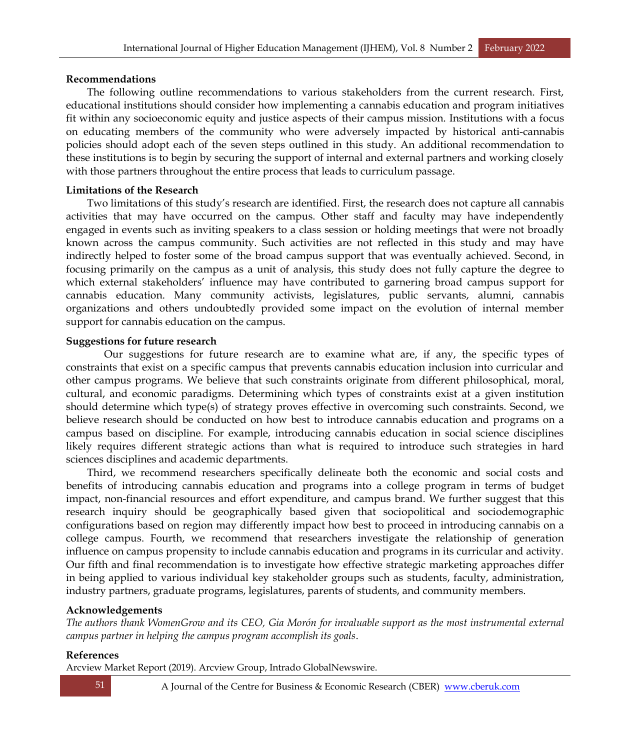# **Recommendations**

The following outline recommendations to various stakeholders from the current research. First, educational institutions should consider how implementing a cannabis education and program initiatives fit within any socioeconomic equity and justice aspects of their campus mission. Institutions with a focus on educating members of the community who were adversely impacted by historical anti-cannabis policies should adopt each of the seven steps outlined in this study. An additional recommendation to these institutions is to begin by securing the support of internal and external partners and working closely with those partners throughout the entire process that leads to curriculum passage.

# **Limitations of the Research**

Two limitations of this study's research are identified. First, the research does not capture all cannabis activities that may have occurred on the campus. Other staff and faculty may have independently engaged in events such as inviting speakers to a class session or holding meetings that were not broadly known across the campus community. Such activities are not reflected in this study and may have indirectly helped to foster some of the broad campus support that was eventually achieved. Second, in focusing primarily on the campus as a unit of analysis, this study does not fully capture the degree to which external stakeholders' influence may have contributed to garnering broad campus support for cannabis education. Many community activists, legislatures, public servants, alumni, cannabis organizations and others undoubtedly provided some impact on the evolution of internal member support for cannabis education on the campus.

# **Suggestions for future research**

Our suggestions for future research are to examine what are, if any, the specific types of constraints that exist on a specific campus that prevents cannabis education inclusion into curricular and other campus programs. We believe that such constraints originate from different philosophical, moral, cultural, and economic paradigms. Determining which types of constraints exist at a given institution should determine which type(s) of strategy proves effective in overcoming such constraints. Second, we believe research should be conducted on how best to introduce cannabis education and programs on a campus based on discipline. For example, introducing cannabis education in social science disciplines likely requires different strategic actions than what is required to introduce such strategies in hard sciences disciplines and academic departments.

Third, we recommend researchers specifically delineate both the economic and social costs and benefits of introducing cannabis education and programs into a college program in terms of budget impact, non-financial resources and effort expenditure, and campus brand. We further suggest that this research inquiry should be geographically based given that sociopolitical and sociodemographic configurations based on region may differently impact how best to proceed in introducing cannabis on a college campus. Fourth, we recommend that researchers investigate the relationship of generation influence on campus propensity to include cannabis education and programs in its curricular and activity. Our fifth and final recommendation is to investigate how effective strategic marketing approaches differ in being applied to various individual key stakeholder groups such as students, faculty, administration, industry partners, graduate programs, legislatures, parents of students, and community members.

# **Acknowledgements**

*The authors thank WomenGrow and its CEO, Gia Morón for invaluable support as the most instrumental external campus partner in helping the campus program accomplish its goals*.

# **References**

Arcview Market Report (2019). Arcview Group, Intrado GlobalNewswire.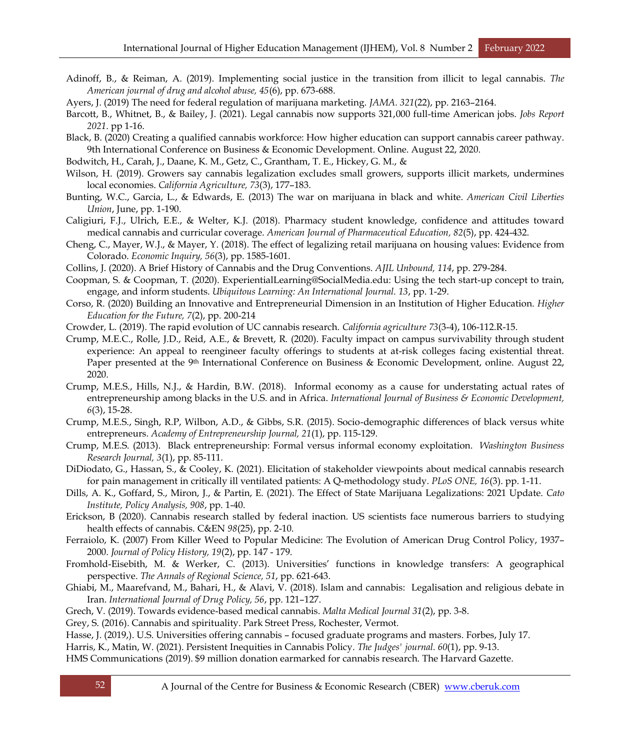Adinoff, B., & Reiman, A. (2019). Implementing social justice in the transition from illicit to legal cannabis. *The American journal of drug and alcohol abuse, 45*(6), pp. 673-688.

Ayers, J. (2019) The need for federal regulation of marijuana marketing. *JAMA. 321*(22), pp. 2163–2164.

- Barcott, B., Whitnet, B., & Bailey, J. (2021). Legal cannabis now supports 321,000 full-time American jobs. *Jobs Report 2021*. pp 1-16.
- Black, B. (2020) Creating a qualified cannabis workforce: How higher education can support cannabis career pathway. 9th International Conference on Business & Economic Development. Online. August 22, 2020.
- Bodwitch, H., Carah, J., Daane, K. M., Getz, C., Grantham, T. E., Hickey, G. M., &
- Wilson, H. (2019). Growers say cannabis legalization excludes small growers, supports illicit markets, undermines local economies. *California Agriculture, 73*(3), 177–183.
- Bunting, W.C., Garcia, L., & Edwards, E. (2013) The war on marijuana in black and white. *American Civil Liberties Union*, June, pp. 1-190.
- Caligiuri, F.J., Ulrich, E.E., & Welter, K.J. (2018). Pharmacy student knowledge, confidence and attitudes toward medical cannabis and curricular coverage. *American Journal of Pharmaceutical Education, 82*(5), pp. 424-432.
- Cheng, C., Mayer, W.J., & Mayer, Y. (2018). The effect of legalizing retail marijuana on housing values: Evidence from Colorado. *Economic Inquiry, 56*(3), pp. 1585-1601.
- Collins, J. (2020). A Brief History of Cannabis and the Drug Conventions. *AJIL Unbound, 114*, pp. 279-284.
- Coopman, S. & Coopman, T. (2020). ExperientialLearning@SocialMedia.edu: Using the tech start-up concept to train, engage, and inform students. *Ubiquitous Learning: An International Journal. 13*, pp. 1-29.
- Corso, R. (2020) Building an Innovative and Entrepreneurial Dimension in an Institution of Higher Education. *Higher Education for the Future, 7*(2), pp. 200-214
- Crowder, L. (2019). The rapid evolution of UC cannabis research. *California agriculture 73*(3-4), 106-112.R-15.
- Crump, M.E.C., Rolle, J.D., Reid, A.E., & Brevett, R. (2020). Faculty impact on campus survivability through student experience: An appeal to reengineer faculty offerings to students at at-risk colleges facing existential threat. Paper presented at the 9<sup>th</sup> International Conference on Business & Economic Development, online. August 22, 2020.
- Crump, M.E.S., Hills, N.J., & Hardin, B.W. (2018). Informal economy as a cause for understating actual rates of entrepreneurship among blacks in the U.S. and in Africa. *International Journal of Business & Economic Development, 6*(3), 15-28.
- Crump, M.E.S., Singh, R.P, Wilbon, A.D., & Gibbs, S.R. (2015). Socio-demographic differences of black versus white entrepreneurs. *Academy of Entrepreneurship Journal, 21*(1), pp. 115-129.
- Crump, M.E.S. (2013). Black entrepreneurship: Formal versus informal economy exploitation. *Washington Business Research Journal, 3*(1), pp. 85-111.
- DiDiodato, G., Hassan, S., & Cooley, K. (2021). Elicitation of stakeholder viewpoints about medical cannabis research for pain management in critically ill ventilated patients: A Q-methodology study. *PLoS ONE, 16*(3). pp. 1-11.
- Dills, A. K., Goffard, S., Miron, J., & Partin, E. (2021). The Effect of State Marijuana Legalizations: 2021 Update. *Cato Institute, Policy Analysis, 908*, pp. 1-40.
- Erickson, B (2020). Cannabis research stalled by federal inaction. US scientists face numerous barriers to studying health effects of cannabis. C&EN *98*(25), pp. 2-10.
- Ferraiolo, K. (2007) From Killer Weed to Popular Medicine: The Evolution of American Drug Control Policy, 1937– 2000. *Journal of Policy History, 19*(2), pp. 147 - 179.
- Fromhold-Eisebith, M. & Werker, C. (2013). Universities' functions in knowledge transfers: A geographical perspective. *The Annals of Regional Science, 51*, pp. 621-643.
- Ghiabi, M., Maarefvand, M., Bahari, H., & Alavi, V. (2018). Islam and cannabis: Legalisation and religious debate in Iran. *International Journal of Drug Policy, 56*, pp. 121–127.

Grech, V. (2019). Towards evidence-based medical cannabis. *Malta Medical Journal 31*(2), pp. 3-8.

Grey, S. (2016). Cannabis and spirituality. Park Street Press, Rochester, Vermot.

- Hasse, J. (2019,). U.S. Universities offering cannabis focused graduate programs and masters. Forbes, July 17.
- Harris, K., Matin, W. (2021). Persistent Inequities in Cannabis Policy. *The Judges' journal. 60*(1), pp. 9-13.

HMS Communications (2019). \$9 million donation earmarked for cannabis research. The Harvard Gazette.